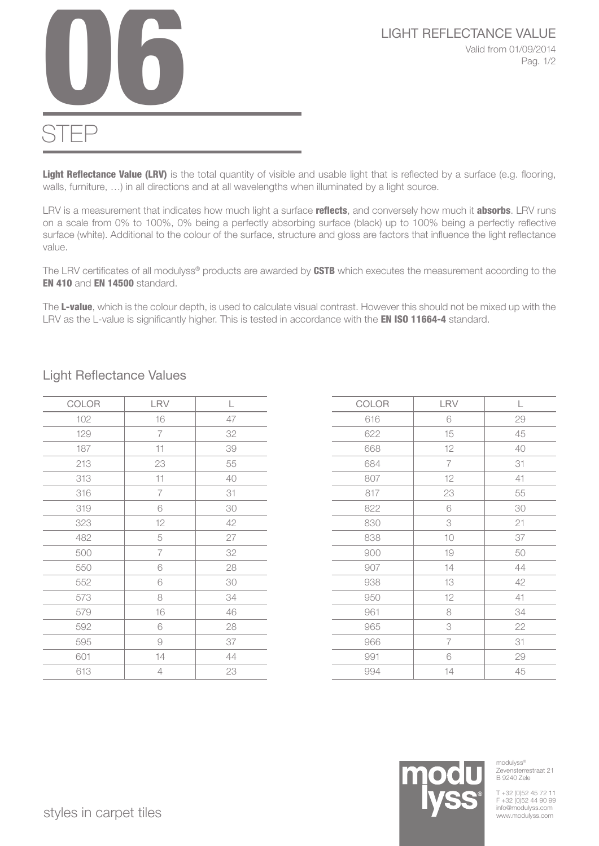

## STEP

Light Reflectance Value (LRV) is the total quantity of visible and usable light that is reflected by a surface (e.g. flooring, walls, furniture, …) in all directions and at all wavelengths when illuminated by a light source.

LRV is a measurement that indicates how much light a surface reflects, and conversely how much it absorbs. LRV runs on a scale from 0% to 100%, 0% being a perfectly absorbing surface (black) up to 100% being a perfectly reflective surface (white). Additional to the colour of the surface, structure and gloss are factors that influence the light reflectance value.

The LRV certificates of all modulyss® products are awarded by CSTB which executes the measurement according to the EN 410 and EN 14500 standard.

The L-value, which is the colour depth, is used to calculate visual contrast. However this should not be mixed up with the LRV as the L-value is significantly higher. This is tested in accordance with the **EN ISO 11664-4** standard.

| COLOR | LRV            | L  |
|-------|----------------|----|
| 102   | 16             | 47 |
| 129   | 7              | 32 |
| 187   | 11             | 39 |
| 213   | 23             | 55 |
| 313   | 11             | 40 |
| 316   | $\overline{7}$ | 31 |
| 319   | 6              | 30 |
| 323   | 12             | 42 |
| 482   | 5              | 27 |
| 500   | 7              | 32 |
| 550   | 6              | 28 |
| 552   | 6              | 30 |
| 573   | 8              | 34 |
| 579   | 16             | 46 |
| 592   | 6              | 28 |
| 595   | 9              | 37 |
| 601   | 14             | 44 |
| 613   | 4              | 23 |

Light Reflectance Values

| COLOR | LRV            | L      |
|-------|----------------|--------|
| 616   | 6              | 29     |
| 622   | 15             | 45     |
| 668   | 12             | 40     |
| 684   | 7              | 31     |
| 807   | 12             | $41\,$ |
| 817   | 23             | 55     |
| 822   | 6              | 30     |
| 830   | 3              | 21     |
| 838   | 10             | 37     |
| 900   | $10$           | 50     |
| 907   | 14             | 44     |
| 938   | 13             | 42     |
| 950   | 12             | $41\,$ |
| 961   | 8              | 34     |
| 965   | 3              | 22     |
| 966   | $\overline{7}$ | 31     |
| 991   | 6              | 29     |
| 994   | 14             | 45     |

## styles in carpet tiles www.modulyss.com styles in carpet tiles

modulyss® Zevensterrestraat 21 B 9240 Zele

T +32 (0)52 45 72 11 F +32 (0)52 44 90 99<br>info@modulyss.com